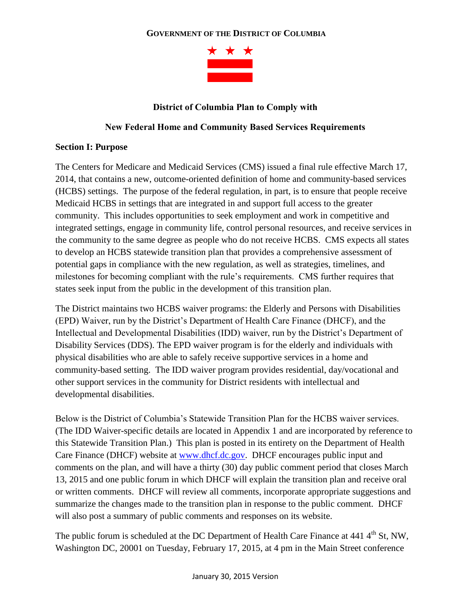### **GOVERNMENT OF THE DISTRICT OF COLUMBIA**



## **District of Columbia Plan to Comply with**

#### **New Federal Home and Community Based Services Requirements**

#### **Section I: Purpose**

The Centers for Medicare and Medicaid Services (CMS) issued a final rule effective March 17, 2014, that contains a new, outcome-oriented definition of home and community-based services (HCBS) settings. The purpose of the federal regulation, in part, is to ensure that people receive Medicaid HCBS in settings that are integrated in and support full access to the greater community. This includes opportunities to seek employment and work in competitive and integrated settings, engage in community life, control personal resources, and receive services in the community to the same degree as people who do not receive HCBS. CMS expects all states to develop an HCBS statewide transition plan that provides a comprehensive assessment of potential gaps in compliance with the new regulation, as well as strategies, timelines, and milestones for becoming compliant with the rule's requirements. CMS further requires that states seek input from the public in the development of this transition plan.

The District maintains two HCBS waiver programs: the Elderly and Persons with Disabilities (EPD) Waiver, run by the District's Department of Health Care Finance (DHCF), and the Intellectual and Developmental Disabilities (IDD) waiver, run by the District's Department of Disability Services (DDS). The EPD waiver program is for the elderly and individuals with physical disabilities who are able to safely receive supportive services in a home and community-based setting. The IDD waiver program provides residential, day/vocational and other support services in the community for District residents with intellectual and developmental disabilities.

Below is the District of Columbia's Statewide Transition Plan for the HCBS waiver services. (The IDD Waiver-specific details are located in Appendix 1 and are incorporated by reference to this Statewide Transition Plan.) This plan is posted in its entirety on the Department of Health Care Finance (DHCF) website at [www.dhcf.dc.gov.](http://www.dhcf.dc.gov/) DHCF encourages public input and comments on the plan, and will have a thirty (30) day public comment period that closes March 13, 2015 and one public forum in which DHCF will explain the transition plan and receive oral or written comments. DHCF will review all comments, incorporate appropriate suggestions and summarize the changes made to the transition plan in response to the public comment. DHCF will also post a summary of public comments and responses on its website.

The public forum is scheduled at the DC Department of Health Care Finance at 441 4<sup>th</sup> St, NW, Washington DC, 20001 on Tuesday, February 17, 2015, at 4 pm in the Main Street conference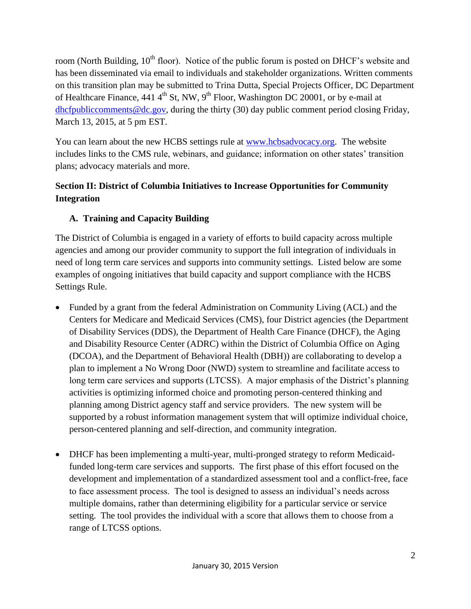room (North Building, 10<sup>th</sup> floor). Notice of the public forum is posted on DHCF's website and has been disseminated via email to individuals and stakeholder organizations. Written comments on this transition plan may be submitted to Trina Dutta, Special Projects Officer, DC Department of Healthcare Finance, 441  $4<sup>th</sup>$  St, NW, 9<sup>th</sup> Floor, Washington DC 20001, or by e-mail at [dhcfpubliccomments@dc.gov,](mailto:dhcfpubliccomments@dc.gov) during the thirty (30) day public comment period closing Friday, March 13, 2015, at 5 pm EST.

You can learn about the new HCBS settings rule at [www.hcbsadvocacy.org.](http://www.hcbsadvocacy.org/) The website includes links to the CMS rule, webinars, and guidance; information on other states' transition plans; advocacy materials and more.

# **Section II: District of Columbia Initiatives to Increase Opportunities for Community Integration**

# **A. Training and Capacity Building**

The District of Columbia is engaged in a variety of efforts to build capacity across multiple agencies and among our provider community to support the full integration of individuals in need of long term care services and supports into community settings. Listed below are some examples of ongoing initiatives that build capacity and support compliance with the HCBS Settings Rule.

- Funded by a grant from the federal Administration on Community Living (ACL) and the Centers for Medicare and Medicaid Services (CMS), four District agencies (the Department of Disability Services (DDS), the Department of Health Care Finance (DHCF), the Aging and Disability Resource Center (ADRC) within the District of Columbia Office on Aging (DCOA), and the Department of Behavioral Health (DBH)) are collaborating to develop a plan to implement a No Wrong Door (NWD) system to streamline and facilitate access to long term care services and supports (LTCSS). A major emphasis of the District's planning activities is optimizing informed choice and promoting person-centered thinking and planning among District agency staff and service providers. The new system will be supported by a robust information management system that will optimize individual choice, person-centered planning and self-direction, and community integration.
- DHCF has been implementing a multi-year, multi-pronged strategy to reform Medicaidfunded long-term care services and supports. The first phase of this effort focused on the development and implementation of a standardized assessment tool and a conflict-free, face to face assessment process. The tool is designed to assess an individual's needs across multiple domains, rather than determining eligibility for a particular service or service setting. The tool provides the individual with a score that allows them to choose from a range of LTCSS options.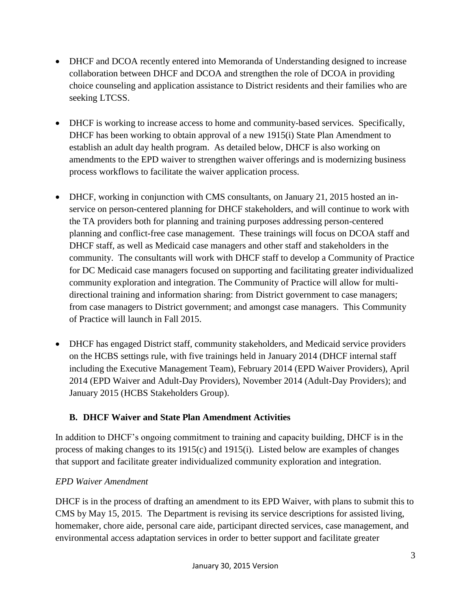- DHCF and DCOA recently entered into Memoranda of Understanding designed to increase collaboration between DHCF and DCOA and strengthen the role of DCOA in providing choice counseling and application assistance to District residents and their families who are seeking LTCSS.
- DHCF is working to increase access to home and community-based services. Specifically, DHCF has been working to obtain approval of a new 1915(i) State Plan Amendment to establish an adult day health program. As detailed below, DHCF is also working on amendments to the EPD waiver to strengthen waiver offerings and is modernizing business process workflows to facilitate the waiver application process.
- DHCF, working in conjunction with CMS consultants, on January 21, 2015 hosted an inservice on person-centered planning for DHCF stakeholders, and will continue to work with the TA providers both for planning and training purposes addressing person-centered planning and conflict-free case management. These trainings will focus on DCOA staff and DHCF staff, as well as Medicaid case managers and other staff and stakeholders in the community. The consultants will work with DHCF staff to develop a Community of Practice for DC Medicaid case managers focused on supporting and facilitating greater individualized community exploration and integration. The Community of Practice will allow for multidirectional training and information sharing: from District government to case managers; from case managers to District government; and amongst case managers. This Community of Practice will launch in Fall 2015.
- DHCF has engaged District staff, community stakeholders, and Medicaid service providers on the HCBS settings rule, with five trainings held in January 2014 (DHCF internal staff including the Executive Management Team), February 2014 (EPD Waiver Providers), April 2014 (EPD Waiver and Adult-Day Providers), November 2014 (Adult-Day Providers); and January 2015 (HCBS Stakeholders Group).

# **B. DHCF Waiver and State Plan Amendment Activities**

In addition to DHCF's ongoing commitment to training and capacity building, DHCF is in the process of making changes to its 1915(c) and 1915(i). Listed below are examples of changes that support and facilitate greater individualized community exploration and integration.

# *EPD Waiver Amendment*

DHCF is in the process of drafting an amendment to its EPD Waiver, with plans to submit this to CMS by May 15, 2015. The Department is revising its service descriptions for assisted living, homemaker, chore aide, personal care aide, participant directed services, case management, and environmental access adaptation services in order to better support and facilitate greater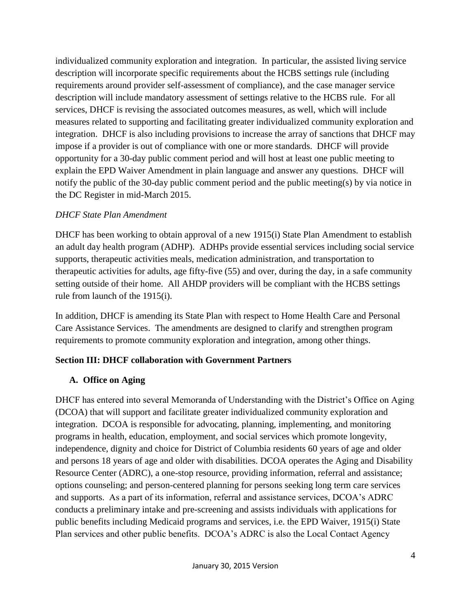individualized community exploration and integration. In particular, the assisted living service description will incorporate specific requirements about the HCBS settings rule (including requirements around provider self-assessment of compliance), and the case manager service description will include mandatory assessment of settings relative to the HCBS rule. For all services, DHCF is revising the associated outcomes measures, as well, which will include measures related to supporting and facilitating greater individualized community exploration and integration. DHCF is also including provisions to increase the array of sanctions that DHCF may impose if a provider is out of compliance with one or more standards. DHCF will provide opportunity for a 30-day public comment period and will host at least one public meeting to explain the EPD Waiver Amendment in plain language and answer any questions. DHCF will notify the public of the 30-day public comment period and the public meeting(s) by via notice in the DC Register in mid-March 2015.

## *DHCF State Plan Amendment*

DHCF has been working to obtain approval of a new 1915(i) State Plan Amendment to establish an adult day health program (ADHP). ADHPs provide essential services including social service supports, therapeutic activities meals, medication administration, and transportation to therapeutic activities for adults, age fifty-five (55) and over, during the day, in a safe community setting outside of their home. All AHDP providers will be compliant with the HCBS settings rule from launch of the 1915(i).

In addition, DHCF is amending its State Plan with respect to Home Health Care and Personal Care Assistance Services. The amendments are designed to clarify and strengthen program requirements to promote community exploration and integration, among other things.

### **Section III: DHCF collaboration with Government Partners**

# **A. Office on Aging**

DHCF has entered into several Memoranda of Understanding with the District's Office on Aging (DCOA) that will support and facilitate greater individualized community exploration and integration. DCOA is responsible for advocating, planning, implementing, and monitoring programs in health, education, employment, and social services which promote longevity, independence, dignity and choice for District of Columbia residents 60 years of age and older and persons 18 years of age and older with disabilities. DCOA operates the Aging and Disability Resource Center (ADRC), a one-stop resource, providing information, referral and assistance; options counseling; and person-centered planning for persons seeking long term care services and supports. As a part of its information, referral and assistance services, DCOA's ADRC conducts a preliminary intake and pre-screening and assists individuals with applications for public benefits including Medicaid programs and services, i.e. the EPD Waiver, 1915(i) State Plan services and other public benefits. DCOA's ADRC is also the Local Contact Agency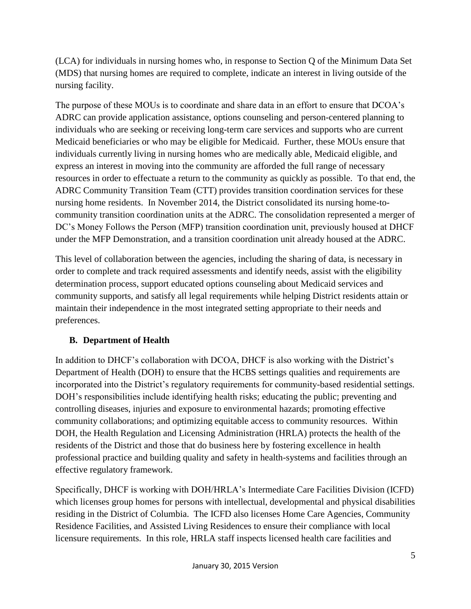(LCA) for individuals in nursing homes who, in response to Section Q of the Minimum Data Set (MDS) that nursing homes are required to complete, indicate an interest in living outside of the nursing facility.

The purpose of these MOUs is to coordinate and share data in an effort to ensure that DCOA's ADRC can provide application assistance, options counseling and person-centered planning to individuals who are seeking or receiving long-term care services and supports who are current Medicaid beneficiaries or who may be eligible for Medicaid. Further, these MOUs ensure that individuals currently living in nursing homes who are medically able, Medicaid eligible, and express an interest in moving into the community are afforded the full range of necessary resources in order to effectuate a return to the community as quickly as possible. To that end, the ADRC Community Transition Team (CTT) provides transition coordination services for these nursing home residents. In November 2014, the District consolidated its nursing home-tocommunity transition coordination units at the ADRC. The consolidation represented a merger of DC's Money Follows the Person (MFP) transition coordination unit, previously housed at DHCF under the MFP Demonstration, and a transition coordination unit already housed at the ADRC.

This level of collaboration between the agencies, including the sharing of data, is necessary in order to complete and track required assessments and identify needs, assist with the eligibility determination process, support educated options counseling about Medicaid services and community supports, and satisfy all legal requirements while helping District residents attain or maintain their independence in the most integrated setting appropriate to their needs and preferences.

# **B. Department of Health**

In addition to DHCF's collaboration with DCOA, DHCF is also working with the District's Department of Health (DOH) to ensure that the HCBS settings qualities and requirements are incorporated into the District's regulatory requirements for community-based residential settings. DOH's responsibilities include identifying health risks; educating the public; preventing and controlling diseases, injuries and exposure to environmental hazards; promoting effective community collaborations; and optimizing equitable access to community resources. Within DOH, the Health Regulation and Licensing Administration (HRLA) protects the health of the residents of the District and those that do business here by fostering excellence in health professional practice and building quality and safety in health-systems and facilities through an effective regulatory framework.

Specifically, DHCF is working with DOH/HRLA's Intermediate Care Facilities Division (ICFD) which licenses group homes for persons with intellectual, developmental and physical disabilities residing in the District of Columbia. The ICFD also licenses Home Care Agencies, Community Residence Facilities, and Assisted Living Residences to ensure their compliance with local licensure requirements. In this role, HRLA staff inspects licensed health care facilities and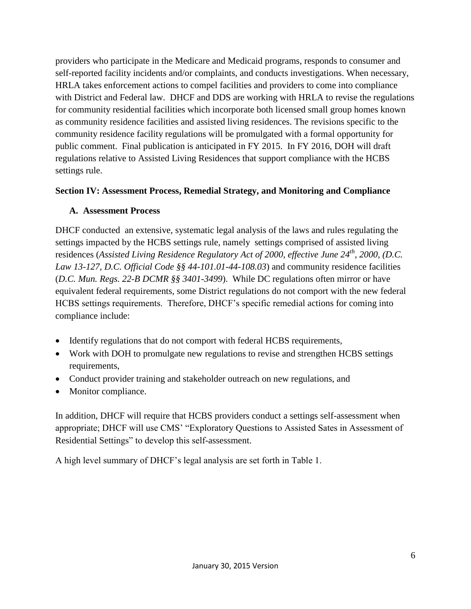providers who participate in the Medicare and Medicaid programs, responds to consumer and self-reported facility incidents and/or complaints, and conducts investigations. When necessary, HRLA takes enforcement actions to compel facilities and providers to come into compliance with District and Federal law. DHCF and DDS are working with HRLA to revise the regulations for community residential facilities which incorporate both licensed small group homes known as community residence facilities and assisted living residences. The revisions specific to the community residence facility regulations will be promulgated with a formal opportunity for public comment. Final publication is anticipated in FY 2015. In FY 2016, DOH will draft regulations relative to Assisted Living Residences that support compliance with the HCBS settings rule.

### **Section IV: Assessment Process, Remedial Strategy, and Monitoring and Compliance**

#### **A. Assessment Process**

DHCF conducted an extensive, systematic legal analysis of the laws and rules regulating the settings impacted by the HCBS settings rule, namely settings comprised of assisted living residences (*Assisted Living Residence Regulatory Act of 2000, effective June 24th, 2000, (D.C. Law 13-127, D.C. Official Code §§ 44-101.01-44-108.03*) and community residence facilities (*D.C. Mun. Regs. 22-B DCMR §§ 3401-3499*). While DC regulations often mirror or have equivalent federal requirements, some District regulations do not comport with the new federal HCBS settings requirements. Therefore, DHCF's specific remedial actions for coming into compliance include:

- Identify regulations that do not comport with federal HCBS requirements,
- Work with DOH to promulgate new regulations to revise and strengthen HCBS settings requirements,
- Conduct provider training and stakeholder outreach on new regulations, and
- Monitor compliance.

In addition, DHCF will require that HCBS providers conduct a settings self-assessment when appropriate; DHCF will use CMS' "Exploratory Questions to Assisted Sates in Assessment of Residential Settings" to develop this self-assessment.

A high level summary of DHCF's legal analysis are set forth in Table 1.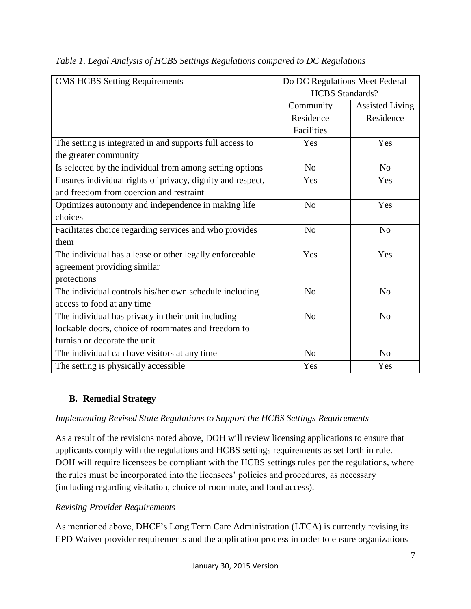| <b>CMS HCBS Setting Requirements</b>                       | Do DC Regulations Meet Federal |                        |
|------------------------------------------------------------|--------------------------------|------------------------|
|                                                            | <b>HCBS</b> Standards?         |                        |
|                                                            | Community                      | <b>Assisted Living</b> |
|                                                            | Residence                      | Residence              |
|                                                            | Facilities                     |                        |
| The setting is integrated in and supports full access to   | Yes                            | Yes                    |
| the greater community                                      |                                |                        |
| Is selected by the individual from among setting options   | N <sub>o</sub>                 | N <sub>o</sub>         |
| Ensures individual rights of privacy, dignity and respect, | Yes                            | Yes                    |
| and freedom from coercion and restraint                    |                                |                        |
| Optimizes autonomy and independence in making life         | N <sub>o</sub>                 | Yes                    |
| choices                                                    |                                |                        |
| Facilitates choice regarding services and who provides     | N <sub>o</sub>                 | N <sub>o</sub>         |
| them                                                       |                                |                        |
| The individual has a lease or other legally enforceable    | Yes                            | Yes                    |
| agreement providing similar                                |                                |                        |
| protections                                                |                                |                        |
| The individual controls his/her own schedule including     | No                             | N <sub>0</sub>         |
| access to food at any time                                 |                                |                        |
| The individual has privacy in their unit including         | N <sub>o</sub>                 | N <sub>o</sub>         |
| lockable doors, choice of roommates and freedom to         |                                |                        |
| furnish or decorate the unit                               |                                |                        |
| The individual can have visitors at any time               | No                             | N <sub>o</sub>         |
| The setting is physically accessible                       | Yes                            | Yes                    |

*Table 1. Legal Analysis of HCBS Settings Regulations compared to DC Regulations* 

# **B. Remedial Strategy**

### *Implementing Revised State Regulations to Support the HCBS Settings Requirements*

As a result of the revisions noted above, DOH will review licensing applications to ensure that applicants comply with the regulations and HCBS settings requirements as set forth in rule. DOH will require licensees be compliant with the HCBS settings rules per the regulations, where the rules must be incorporated into the licensees' policies and procedures, as necessary (including regarding visitation, choice of roommate, and food access).

### *Revising Provider Requirements*

As mentioned above, DHCF's Long Term Care Administration (LTCA) is currently revising its EPD Waiver provider requirements and the application process in order to ensure organizations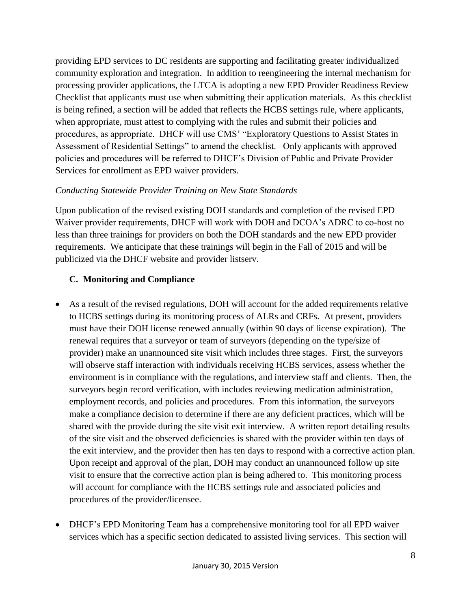providing EPD services to DC residents are supporting and facilitating greater individualized community exploration and integration. In addition to reengineering the internal mechanism for processing provider applications, the LTCA is adopting a new EPD Provider Readiness Review Checklist that applicants must use when submitting their application materials. As this checklist is being refined, a section will be added that reflects the HCBS settings rule, where applicants, when appropriate, must attest to complying with the rules and submit their policies and procedures, as appropriate. DHCF will use CMS' "Exploratory Questions to Assist States in Assessment of Residential Settings" to amend the checklist. Only applicants with approved policies and procedures will be referred to DHCF's Division of Public and Private Provider Services for enrollment as EPD waiver providers.

# *Conducting Statewide Provider Training on New State Standards*

Upon publication of the revised existing DOH standards and completion of the revised EPD Waiver provider requirements, DHCF will work with DOH and DCOA's ADRC to co-host no less than three trainings for providers on both the DOH standards and the new EPD provider requirements. We anticipate that these trainings will begin in the Fall of 2015 and will be publicized via the DHCF website and provider listserv.

## **C. Monitoring and Compliance**

- As a result of the revised regulations, DOH will account for the added requirements relative to HCBS settings during its monitoring process of ALRs and CRFs. At present, providers must have their DOH license renewed annually (within 90 days of license expiration). The renewal requires that a surveyor or team of surveyors (depending on the type/size of provider) make an unannounced site visit which includes three stages. First, the surveyors will observe staff interaction with individuals receiving HCBS services, assess whether the environment is in compliance with the regulations, and interview staff and clients. Then, the surveyors begin record verification, with includes reviewing medication administration, employment records, and policies and procedures. From this information, the surveyors make a compliance decision to determine if there are any deficient practices, which will be shared with the provide during the site visit exit interview. A written report detailing results of the site visit and the observed deficiencies is shared with the provider within ten days of the exit interview, and the provider then has ten days to respond with a corrective action plan. Upon receipt and approval of the plan, DOH may conduct an unannounced follow up site visit to ensure that the corrective action plan is being adhered to. This monitoring process will account for compliance with the HCBS settings rule and associated policies and procedures of the provider/licensee.
- DHCF's EPD Monitoring Team has a comprehensive monitoring tool for all EPD waiver services which has a specific section dedicated to assisted living services. This section will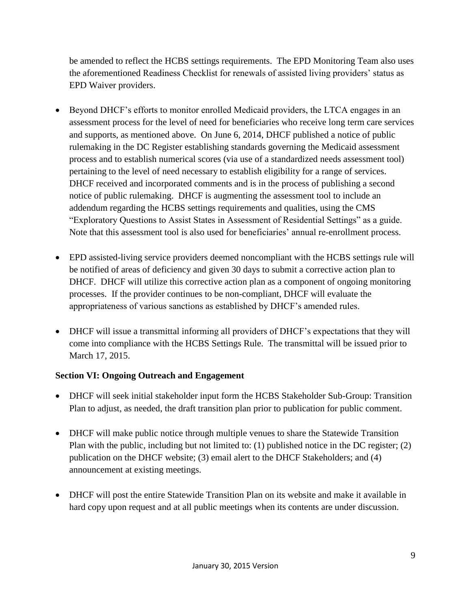be amended to reflect the HCBS settings requirements. The EPD Monitoring Team also uses the aforementioned Readiness Checklist for renewals of assisted living providers' status as EPD Waiver providers.

- Beyond DHCF's efforts to monitor enrolled Medicaid providers, the LTCA engages in an assessment process for the level of need for beneficiaries who receive long term care services and supports, as mentioned above. On June 6, 2014, DHCF published a notice of public rulemaking in the DC Register establishing standards governing the Medicaid assessment process and to establish numerical scores (via use of a standardized needs assessment tool) pertaining to the level of need necessary to establish eligibility for a range of services. DHCF received and incorporated comments and is in the process of publishing a second notice of public rulemaking. DHCF is augmenting the assessment tool to include an addendum regarding the HCBS settings requirements and qualities, using the CMS "Exploratory Questions to Assist States in Assessment of Residential Settings" as a guide. Note that this assessment tool is also used for beneficiaries' annual re-enrollment process.
- EPD assisted-living service providers deemed noncompliant with the HCBS settings rule will be notified of areas of deficiency and given 30 days to submit a corrective action plan to DHCF. DHCF will utilize this corrective action plan as a component of ongoing monitoring processes. If the provider continues to be non-compliant, DHCF will evaluate the appropriateness of various sanctions as established by DHCF's amended rules.
- DHCF will issue a transmittal informing all providers of DHCF's expectations that they will come into compliance with the HCBS Settings Rule. The transmittal will be issued prior to March 17, 2015.

# **Section VI: Ongoing Outreach and Engagement**

- DHCF will seek initial stakeholder input form the HCBS Stakeholder Sub-Group: Transition Plan to adjust, as needed, the draft transition plan prior to publication for public comment.
- DHCF will make public notice through multiple venues to share the Statewide Transition Plan with the public, including but not limited to: (1) published notice in the DC register; (2) publication on the DHCF website; (3) email alert to the DHCF Stakeholders; and (4) announcement at existing meetings.
- DHCF will post the entire Statewide Transition Plan on its website and make it available in hard copy upon request and at all public meetings when its contents are under discussion.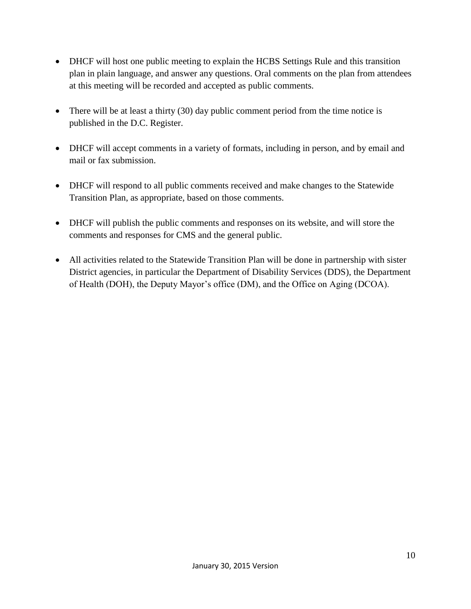- DHCF will host one public meeting to explain the HCBS Settings Rule and this transition plan in plain language, and answer any questions. Oral comments on the plan from attendees at this meeting will be recorded and accepted as public comments.
- There will be at least a thirty  $(30)$  day public comment period from the time notice is published in the D.C. Register.
- DHCF will accept comments in a variety of formats, including in person, and by email and mail or fax submission.
- DHCF will respond to all public comments received and make changes to the Statewide Transition Plan, as appropriate, based on those comments.
- DHCF will publish the public comments and responses on its website, and will store the comments and responses for CMS and the general public.
- All activities related to the Statewide Transition Plan will be done in partnership with sister District agencies, in particular the Department of Disability Services (DDS), the Department of Health (DOH), the Deputy Mayor's office (DM), and the Office on Aging (DCOA).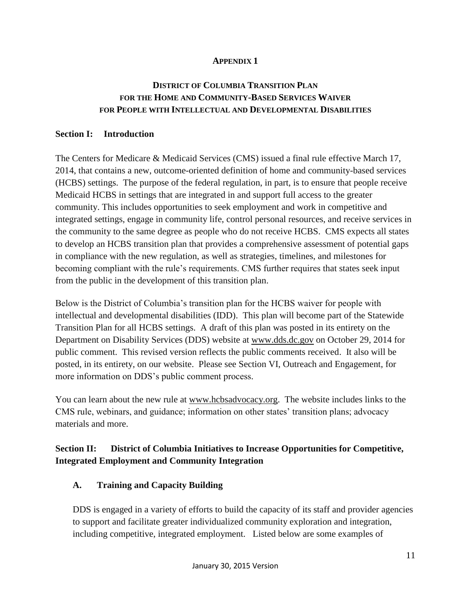## **APPENDIX 1**

# **DISTRICT OF COLUMBIA TRANSITION PLAN FOR THE HOME AND COMMUNITY-BASED SERVICES WAIVER FOR PEOPLE WITH INTELLECTUAL AND DEVELOPMENTAL DISABILITIES**

#### **Section I: Introduction**

The Centers for Medicare & Medicaid Services (CMS) issued a final rule effective March 17, 2014, that contains a new, outcome-oriented definition of home and community-based services (HCBS) settings. The purpose of the federal regulation, in part, is to ensure that people receive Medicaid HCBS in settings that are integrated in and support full access to the greater community. This includes opportunities to seek employment and work in competitive and integrated settings, engage in community life, control personal resources, and receive services in the community to the same degree as people who do not receive HCBS. CMS expects all states to develop an HCBS transition plan that provides a comprehensive assessment of potential gaps in compliance with the new regulation, as well as strategies, timelines, and milestones for becoming compliant with the rule's requirements. CMS further requires that states seek input from the public in the development of this transition plan.

Below is the District of Columbia's transition plan for the HCBS waiver for people with intellectual and developmental disabilities (IDD). This plan will become part of the Statewide Transition Plan for all HCBS settings. A draft of this plan was posted in its entirety on the Department on Disability Services (DDS) website at [www.dds.dc.gov](http://www.dds.dc.gov/) on October 29, 2014 for public comment. This revised version reflects the public comments received. It also will be posted, in its entirety, on our website. Please see Section VI, Outreach and Engagement, for more information on DDS's public comment process.

You can learn about the new rule at [www.hcbsadvocacy.org.](http://www.hcbsadvocacy.org/) The website includes links to the CMS rule, webinars, and guidance; information on other states' transition plans; advocacy materials and more.

# **Section II: District of Columbia Initiatives to Increase Opportunities for Competitive, Integrated Employment and Community Integration**

### **A. Training and Capacity Building**

DDS is engaged in a variety of efforts to build the capacity of its staff and provider agencies to support and facilitate greater individualized community exploration and integration, including competitive, integrated employment. Listed below are some examples of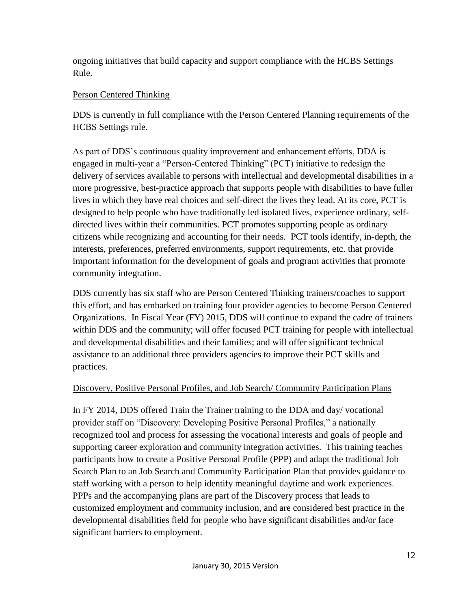ongoing initiatives that build capacity and support compliance with the HCBS Settings Rule.

# Person Centered Thinking

DDS is currently in full compliance with the Person Centered Planning requirements of the HCBS Settings rule.

As part of DDS's continuous quality improvement and enhancement efforts, DDA is engaged in multi-year a "Person-Centered Thinking" (PCT) initiative to redesign the delivery of services available to persons with intellectual and developmental disabilities in a more progressive, best-practice approach that supports people with disabilities to have fuller lives in which they have real choices and self-direct the lives they lead. At its core, PCT is designed to help people who have traditionally led isolated lives, experience ordinary, selfdirected lives within their communities. PCT promotes supporting people as ordinary citizens while recognizing and accounting for their needs. PCT tools identify, in-depth, the interests, preferences, preferred environments, support requirements, etc. that provide important information for the development of goals and program activities that promote community integration.

DDS currently has six staff who are Person Centered Thinking trainers/coaches to support this effort, and has embarked on training four provider agencies to become Person Centered Organizations. In Fiscal Year (FY) 2015, DDS will continue to expand the cadre of trainers within DDS and the community; will offer focused PCT training for people with intellectual and developmental disabilities and their families; and will offer significant technical assistance to an additional three providers agencies to improve their PCT skills and practices.

# Discovery, Positive Personal Profiles, and Job Search/ Community Participation Plans

In FY 2014, DDS offered Train the Trainer training to the DDA and day/ vocational provider staff on "Discovery: Developing Positive Personal Profiles," a nationally recognized tool and process for assessing the vocational interests and goals of people and supporting career exploration and community integration activities. This training teaches participants how to create a Positive Personal Profile (PPP) and adapt the traditional Job Search Plan to an Job Search and Community Participation Plan that provides guidance to staff working with a person to help identify meaningful daytime and work experiences. PPPs and the accompanying plans are part of the Discovery process that leads to customized employment and community inclusion, and are considered best practice in the developmental disabilities field for people who have significant disabilities and/or face significant barriers to employment.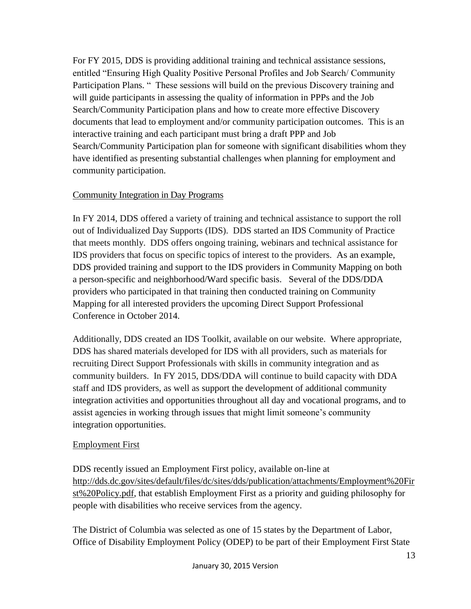For FY 2015, DDS is providing additional training and technical assistance sessions, entitled "Ensuring High Quality Positive Personal Profiles and Job Search/ Community Participation Plans. " These sessions will build on the previous Discovery training and will guide participants in assessing the quality of information in PPPs and the Job Search/Community Participation plans and how to create more effective Discovery documents that lead to employment and/or community participation outcomes. This is an interactive training and each participant must bring a draft PPP and Job Search/Community Participation plan for someone with significant disabilities whom they have identified as presenting substantial challenges when planning for employment and community participation.

# Community Integration in Day Programs

In FY 2014, DDS offered a variety of training and technical assistance to support the roll out of Individualized Day Supports (IDS). DDS started an IDS Community of Practice that meets monthly. DDS offers ongoing training, webinars and technical assistance for IDS providers that focus on specific topics of interest to the providers. As an example, DDS provided training and support to the IDS providers in Community Mapping on both a person-specific and neighborhood/Ward specific basis. Several of the DDS/DDA providers who participated in that training then conducted training on Community Mapping for all interested providers the upcoming Direct Support Professional Conference in October 2014.

Additionally, DDS created an IDS Toolkit, available on our website. Where appropriate, DDS has shared materials developed for IDS with all providers, such as materials for recruiting Direct Support Professionals with skills in community integration and as community builders. In FY 2015, DDS/DDA will continue to build capacity with DDA staff and IDS providers, as well as support the development of additional community integration activities and opportunities throughout all day and vocational programs, and to assist agencies in working through issues that might limit someone's community integration opportunities.

# Employment First

DDS recently issued an Employment First policy, available on-line at [http://dds.dc.gov/sites/default/files/dc/sites/dds/publication/attachments/Employment%20Fir](http://dds.dc.gov/sites/default/files/dc/sites/dds/publication/attachments/Employment%20First%20Policy.pdf) [st%20Policy.pdf,](http://dds.dc.gov/sites/default/files/dc/sites/dds/publication/attachments/Employment%20First%20Policy.pdf) that establish Employment First as a priority and guiding philosophy for people with disabilities who receive services from the agency.

The District of Columbia was selected as one of 15 states by the Department of Labor, Office of Disability Employment Policy (ODEP) to be part of their Employment First State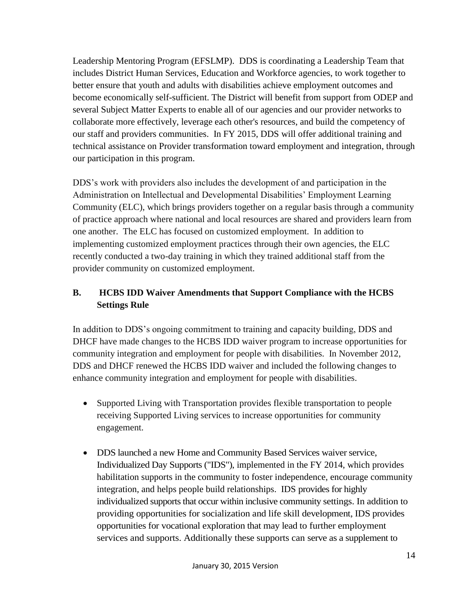Leadership Mentoring Program (EFSLMP). DDS is coordinating a Leadership Team that includes District Human Services, Education and Workforce agencies, to work together to better ensure that youth and adults with disabilities achieve employment outcomes and become economically self-sufficient. The District will benefit from support from ODEP and several Subject Matter Experts to enable all of our agencies and our provider networks to collaborate more effectively, leverage each other's resources, and build the competency of our staff and providers communities. In FY 2015, DDS will offer additional training and technical assistance on Provider transformation toward employment and integration, through our participation in this program.

DDS's work with providers also includes the development of and participation in the Administration on Intellectual and Developmental Disabilities' Employment Learning Community (ELC), which brings providers together on a regular basis through a community of practice approach where national and local resources are shared and providers learn from one another. The ELC has focused on customized employment. In addition to implementing customized employment practices through their own agencies, the ELC recently conducted a two-day training in which they trained additional staff from the provider community on customized employment.

# **B. HCBS IDD Waiver Amendments that Support Compliance with the HCBS Settings Rule**

In addition to DDS's ongoing commitment to training and capacity building, DDS and DHCF have made changes to the HCBS IDD waiver program to increase opportunities for community integration and employment for people with disabilities. In November 2012, DDS and DHCF renewed the HCBS IDD waiver and included the following changes to enhance community integration and employment for people with disabilities.

- Supported Living with Transportation provides flexible transportation to people receiving Supported Living services to increase opportunities for community engagement.
- DDS launched a new Home and Community Based Services waiver service, Individualized Day Supports ("IDS"), implemented in the FY 2014, which provides habilitation supports in the community to foster independence, encourage community integration, and helps people build relationships. IDS provides for highly individualized supports that occur within inclusive community settings. In addition to providing opportunities for socialization and life skill development, IDS provides opportunities for vocational exploration that may lead to further employment services and supports. Additionally these supports can serve as a supplement to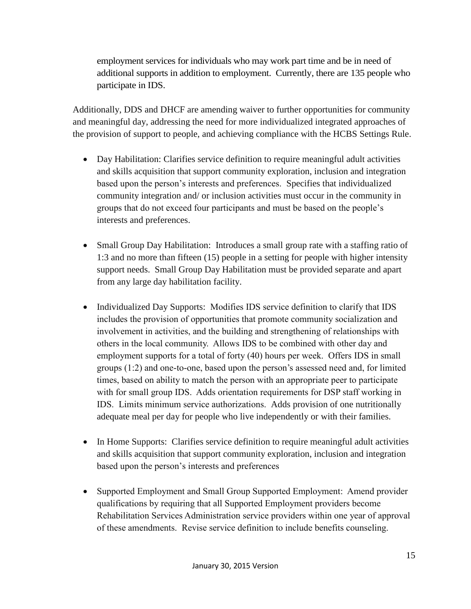employment services for individuals who may work part time and be in need of additional supports in addition to employment. Currently, there are 135 people who participate in IDS.

Additionally, DDS and DHCF are amending waiver to further opportunities for community and meaningful day, addressing the need for more individualized integrated approaches of the provision of support to people, and achieving compliance with the HCBS Settings Rule.

- Day Habilitation: Clarifies service definition to require meaningful adult activities and skills acquisition that support community exploration, inclusion and integration based upon the person's interests and preferences. Specifies that individualized community integration and/ or inclusion activities must occur in the community in groups that do not exceed four participants and must be based on the people's interests and preferences.
- Small Group Day Habilitation: Introduces a small group rate with a staffing ratio of 1:3 and no more than fifteen (15) people in a setting for people with higher intensity support needs. Small Group Day Habilitation must be provided separate and apart from any large day habilitation facility.
- Individualized Day Supports: Modifies IDS service definition to clarify that IDS includes the provision of opportunities that promote community socialization and involvement in activities, and the building and strengthening of relationships with others in the local community. Allows IDS to be combined with other day and employment supports for a total of forty (40) hours per week. Offers IDS in small groups (1:2) and one-to-one, based upon the person's assessed need and, for limited times, based on ability to match the person with an appropriate peer to participate with for small group IDS. Adds orientation requirements for DSP staff working in IDS. Limits minimum service authorizations. Adds provision of one nutritionally adequate meal per day for people who live independently or with their families.
- In Home Supports: Clarifies service definition to require meaningful adult activities and skills acquisition that support community exploration, inclusion and integration based upon the person's interests and preferences
- Supported Employment and Small Group Supported Employment: Amend provider qualifications by requiring that all Supported Employment providers become Rehabilitation Services Administration service providers within one year of approval of these amendments. Revise service definition to include benefits counseling.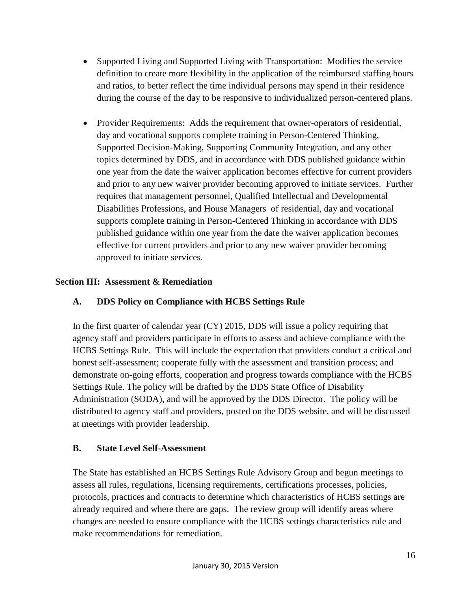- Supported Living and Supported Living with Transportation: Modifies the service definition to create more flexibility in the application of the reimbursed staffing hours and ratios, to better reflect the time individual persons may spend in their residence during the course of the day to be responsive to individualized person-centered plans.
- Provider Requirements: Adds the requirement that owner-operators of residential, day and vocational supports complete training in Person-Centered Thinking, Supported Decision-Making, Supporting Community Integration, and any other topics determined by DDS, and in accordance with DDS published guidance within one year from the date the waiver application becomes effective for current providers and prior to any new waiver provider becoming approved to initiate services. Further requires that management personnel, Qualified Intellectual and Developmental Disabilities Professions, and House Managers of residential, day and vocational supports complete training in Person-Centered Thinking in accordance with DDS published guidance within one year from the date the waiver application becomes effective for current providers and prior to any new waiver provider becoming approved to initiate services.

## **Section III: Assessment & Remediation**

# **A. DDS Policy on Compliance with HCBS Settings Rule**

In the first quarter of calendar year (CY) 2015, DDS will issue a policy requiring that agency staff and providers participate in efforts to assess and achieve compliance with the HCBS Settings Rule. This will include the expectation that providers conduct a critical and honest self-assessment; cooperate fully with the assessment and transition process; and demonstrate on-going efforts, cooperation and progress towards compliance with the HCBS Settings Rule. The policy will be drafted by the DDS State Office of Disability Administration (SODA), and will be approved by the DDS Director. The policy will be distributed to agency staff and providers, posted on the DDS website, and will be discussed at meetings with provider leadership.

### **B. State Level Self-Assessment**

The State has established an HCBS Settings Rule Advisory Group and begun meetings to assess all rules, regulations, licensing requirements, certifications processes, policies, protocols, practices and contracts to determine which characteristics of HCBS settings are already required and where there are gaps. The review group will identify areas where changes are needed to ensure compliance with the HCBS settings characteristics rule and make recommendations for remediation.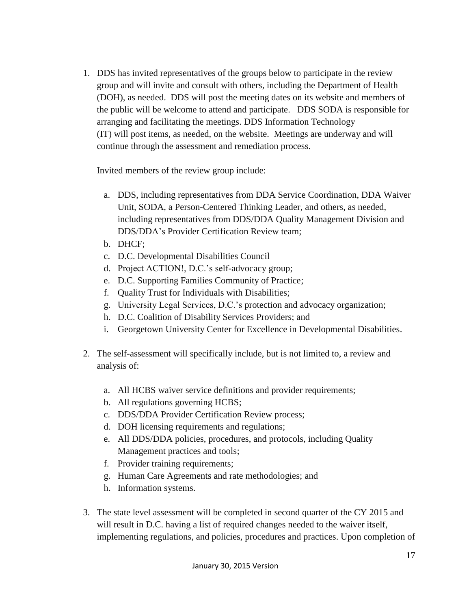1. DDS has invited representatives of the groups below to participate in the review group and will invite and consult with others, including the Department of Health (DOH), as needed. DDS will post the meeting dates on its website and members of the public will be welcome to attend and participate. DDS SODA is responsible for arranging and facilitating the meetings. DDS Information Technology (IT) will post items, as needed, on the website. Meetings are underway and will continue through the assessment and remediation process.

Invited members of the review group include:

- a. DDS, including representatives from DDA Service Coordination, DDA Waiver Unit, SODA, a Person-Centered Thinking Leader, and others, as needed, including representatives from DDS/DDA Quality Management Division and DDS/DDA's Provider Certification Review team;
- b. DHCF;
- c. D.C. Developmental Disabilities Council
- d. Project ACTION!, D.C.'s self-advocacy group;
- e. D.C. Supporting Families Community of Practice;
- f. Quality Trust for Individuals with Disabilities;
- g. University Legal Services, D.C.'s protection and advocacy organization;
- h. D.C. Coalition of Disability Services Providers; and
- i. Georgetown University Center for Excellence in Developmental Disabilities.
- 2. The self-assessment will specifically include, but is not limited to, a review and analysis of:
	- a. All HCBS waiver service definitions and provider requirements;
	- b. All regulations governing HCBS;
	- c. DDS/DDA Provider Certification Review process;
	- d. DOH licensing requirements and regulations;
	- e. All DDS/DDA policies, procedures, and protocols, including Quality Management practices and tools;
	- f. Provider training requirements;
	- g. Human Care Agreements and rate methodologies; and
	- h. Information systems.
- 3. The state level assessment will be completed in second quarter of the CY 2015 and will result in D.C. having a list of required changes needed to the waiver itself, implementing regulations, and policies, procedures and practices. Upon completion of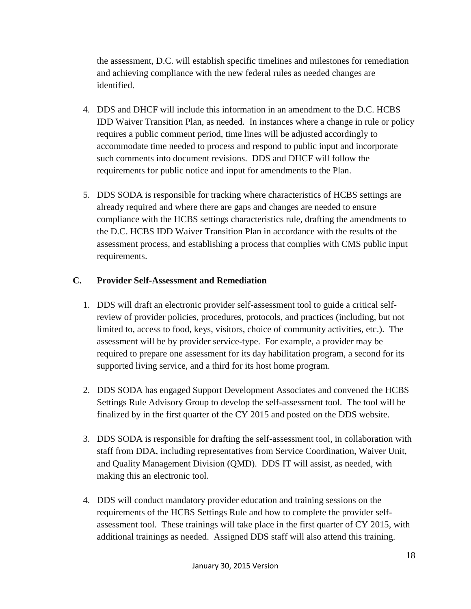the assessment, D.C. will establish specific timelines and milestones for remediation and achieving compliance with the new federal rules as needed changes are identified.

- 4. DDS and DHCF will include this information in an amendment to the D.C. HCBS IDD Waiver Transition Plan, as needed. In instances where a change in rule or policy requires a public comment period, time lines will be adjusted accordingly to accommodate time needed to process and respond to public input and incorporate such comments into document revisions. DDS and DHCF will follow the requirements for public notice and input for amendments to the Plan.
- 5. DDS SODA is responsible for tracking where characteristics of HCBS settings are already required and where there are gaps and changes are needed to ensure compliance with the HCBS settings characteristics rule, drafting the amendments to the D.C. HCBS IDD Waiver Transition Plan in accordance with the results of the assessment process, and establishing a process that complies with CMS public input requirements.

# **C. Provider Self-Assessment and Remediation**

- 1. DDS will draft an electronic provider self-assessment tool to guide a critical selfreview of provider policies, procedures, protocols, and practices (including, but not limited to, access to food, keys, visitors, choice of community activities, etc.). The assessment will be by provider service-type. For example, a provider may be required to prepare one assessment for its day habilitation program, a second for its supported living service, and a third for its host home program.
- 2. DDS SODA has engaged Support Development Associates and convened the HCBS Settings Rule Advisory Group to develop the self-assessment tool. The tool will be finalized by in the first quarter of the CY 2015 and posted on the DDS website.
- 3. DDS SODA is responsible for drafting the self-assessment tool, in collaboration with staff from DDA, including representatives from Service Coordination, Waiver Unit, and Quality Management Division (QMD). DDS IT will assist, as needed, with making this an electronic tool.
- 4. DDS will conduct mandatory provider education and training sessions on the requirements of the HCBS Settings Rule and how to complete the provider selfassessment tool. These trainings will take place in the first quarter of CY 2015, with additional trainings as needed. Assigned DDS staff will also attend this training.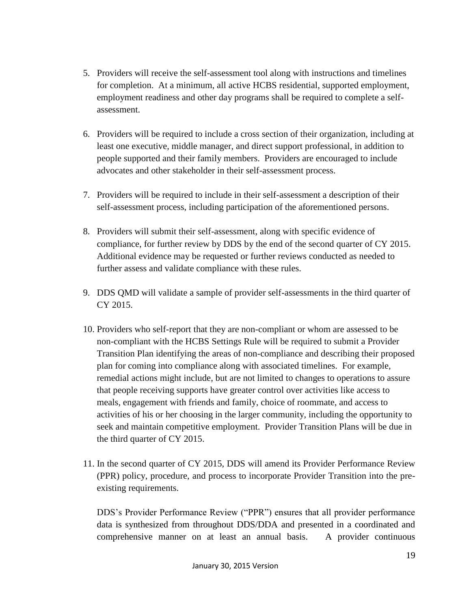- 5. Providers will receive the self-assessment tool along with instructions and timelines for completion. At a minimum, all active HCBS residential, supported employment, employment readiness and other day programs shall be required to complete a selfassessment.
- 6. Providers will be required to include a cross section of their organization, including at least one executive, middle manager, and direct support professional, in addition to people supported and their family members. Providers are encouraged to include advocates and other stakeholder in their self-assessment process.
- 7. Providers will be required to include in their self-assessment a description of their self-assessment process, including participation of the aforementioned persons.
- 8. Providers will submit their self-assessment, along with specific evidence of compliance, for further review by DDS by the end of the second quarter of CY 2015. Additional evidence may be requested or further reviews conducted as needed to further assess and validate compliance with these rules.
- 9. DDS QMD will validate a sample of provider self-assessments in the third quarter of CY 2015.
- 10. Providers who self-report that they are non-compliant or whom are assessed to be non-compliant with the HCBS Settings Rule will be required to submit a Provider Transition Plan identifying the areas of non-compliance and describing their proposed plan for coming into compliance along with associated timelines. For example, remedial actions might include, but are not limited to changes to operations to assure that people receiving supports have greater control over activities like access to meals, engagement with friends and family, choice of roommate, and access to activities of his or her choosing in the larger community, including the opportunity to seek and maintain competitive employment. Provider Transition Plans will be due in the third quarter of CY 2015.
- 11. In the second quarter of CY 2015, DDS will amend its Provider Performance Review (PPR) policy, procedure, and process to incorporate Provider Transition into the preexisting requirements.

DDS's Provider Performance Review ("PPR") ensures that all provider performance data is synthesized from throughout DDS/DDA and presented in a coordinated and comprehensive manner on at least an annual basis. A provider continuous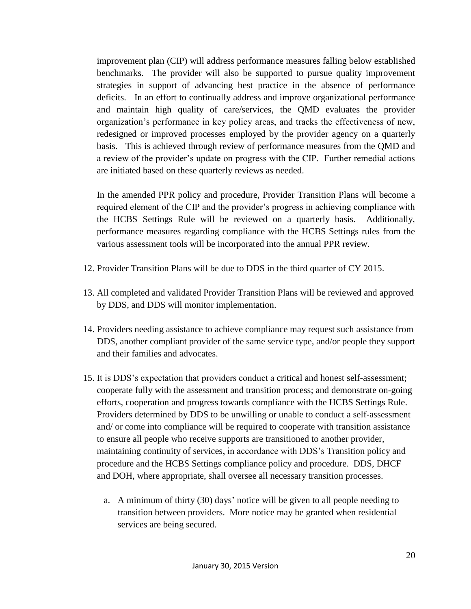improvement plan (CIP) will address performance measures falling below established benchmarks. The provider will also be supported to pursue quality improvement strategies in support of advancing best practice in the absence of performance deficits. In an effort to continually address and improve organizational performance and maintain high quality of care/services, the QMD evaluates the provider organization's performance in key policy areas, and tracks the effectiveness of new, redesigned or improved processes employed by the provider agency on a quarterly basis. This is achieved through review of performance measures from the QMD and a review of the provider's update on progress with the CIP. Further remedial actions are initiated based on these quarterly reviews as needed.

In the amended PPR policy and procedure, Provider Transition Plans will become a required element of the CIP and the provider's progress in achieving compliance with the HCBS Settings Rule will be reviewed on a quarterly basis. Additionally, performance measures regarding compliance with the HCBS Settings rules from the various assessment tools will be incorporated into the annual PPR review.

- 12. Provider Transition Plans will be due to DDS in the third quarter of CY 2015.
- 13. All completed and validated Provider Transition Plans will be reviewed and approved by DDS, and DDS will monitor implementation.
- 14. Providers needing assistance to achieve compliance may request such assistance from DDS, another compliant provider of the same service type, and/or people they support and their families and advocates.
- 15. It is DDS's expectation that providers conduct a critical and honest self-assessment; cooperate fully with the assessment and transition process; and demonstrate on-going efforts, cooperation and progress towards compliance with the HCBS Settings Rule. Providers determined by DDS to be unwilling or unable to conduct a self-assessment and/ or come into compliance will be required to cooperate with transition assistance to ensure all people who receive supports are transitioned to another provider, maintaining continuity of services, in accordance with DDS's Transition policy and procedure and the HCBS Settings compliance policy and procedure. DDS, DHCF and DOH, where appropriate, shall oversee all necessary transition processes.
	- a. A minimum of thirty (30) days' notice will be given to all people needing to transition between providers. More notice may be granted when residential services are being secured.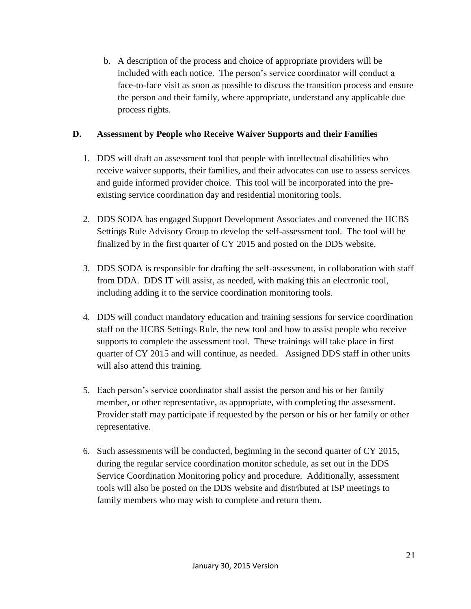b. A description of the process and choice of appropriate providers will be included with each notice. The person's service coordinator will conduct a face-to-face visit as soon as possible to discuss the transition process and ensure the person and their family, where appropriate, understand any applicable due process rights.

### **D. Assessment by People who Receive Waiver Supports and their Families**

- 1. DDS will draft an assessment tool that people with intellectual disabilities who receive waiver supports, their families, and their advocates can use to assess services and guide informed provider choice. This tool will be incorporated into the preexisting service coordination day and residential monitoring tools.
- 2. DDS SODA has engaged Support Development Associates and convened the HCBS Settings Rule Advisory Group to develop the self-assessment tool. The tool will be finalized by in the first quarter of CY 2015 and posted on the DDS website.
- 3. DDS SODA is responsible for drafting the self-assessment, in collaboration with staff from DDA. DDS IT will assist, as needed, with making this an electronic tool, including adding it to the service coordination monitoring tools.
- 4. DDS will conduct mandatory education and training sessions for service coordination staff on the HCBS Settings Rule, the new tool and how to assist people who receive supports to complete the assessment tool. These trainings will take place in first quarter of CY 2015 and will continue, as needed. Assigned DDS staff in other units will also attend this training.
- 5. Each person's service coordinator shall assist the person and his or her family member, or other representative, as appropriate, with completing the assessment. Provider staff may participate if requested by the person or his or her family or other representative.
- 6. Such assessments will be conducted, beginning in the second quarter of CY 2015, during the regular service coordination monitor schedule, as set out in the DDS Service Coordination Monitoring policy and procedure. Additionally, assessment tools will also be posted on the DDS website and distributed at ISP meetings to family members who may wish to complete and return them.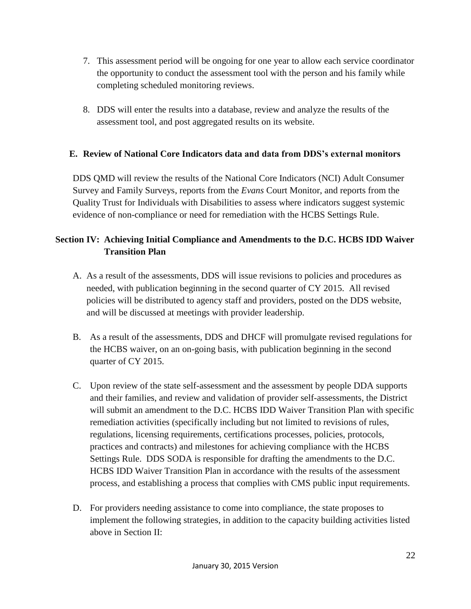- 7. This assessment period will be ongoing for one year to allow each service coordinator the opportunity to conduct the assessment tool with the person and his family while completing scheduled monitoring reviews.
- 8. DDS will enter the results into a database, review and analyze the results of the assessment tool, and post aggregated results on its website.

# **E. Review of National Core Indicators data and data from DDS's external monitors**

DDS QMD will review the results of the National Core Indicators (NCI) Adult Consumer Survey and Family Surveys, reports from the *Evans* Court Monitor, and reports from the Quality Trust for Individuals with Disabilities to assess where indicators suggest systemic evidence of non-compliance or need for remediation with the HCBS Settings Rule.

# **Section IV: Achieving Initial Compliance and Amendments to the D.C. HCBS IDD Waiver Transition Plan**

- A. As a result of the assessments, DDS will issue revisions to policies and procedures as needed, with publication beginning in the second quarter of CY 2015. All revised policies will be distributed to agency staff and providers, posted on the DDS website, and will be discussed at meetings with provider leadership.
- B. As a result of the assessments, DDS and DHCF will promulgate revised regulations for the HCBS waiver, on an on-going basis, with publication beginning in the second quarter of CY 2015.
- C. Upon review of the state self-assessment and the assessment by people DDA supports and their families, and review and validation of provider self-assessments, the District will submit an amendment to the D.C. HCBS IDD Waiver Transition Plan with specific remediation activities (specifically including but not limited to revisions of rules, regulations, licensing requirements, certifications processes, policies, protocols, practices and contracts) and milestones for achieving compliance with the HCBS Settings Rule. DDS SODA is responsible for drafting the amendments to the D.C. HCBS IDD Waiver Transition Plan in accordance with the results of the assessment process, and establishing a process that complies with CMS public input requirements.
- D. For providers needing assistance to come into compliance, the state proposes to implement the following strategies, in addition to the capacity building activities listed above in Section II: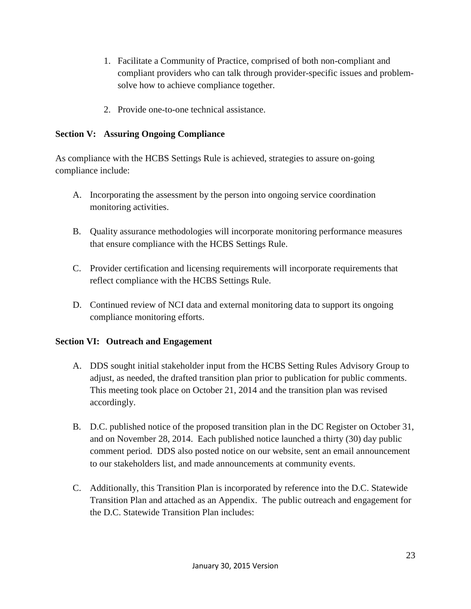- 1. Facilitate a Community of Practice, comprised of both non-compliant and compliant providers who can talk through provider-specific issues and problemsolve how to achieve compliance together.
- 2. Provide one-to-one technical assistance.

## **Section V: Assuring Ongoing Compliance**

As compliance with the HCBS Settings Rule is achieved, strategies to assure on-going compliance include:

- A. Incorporating the assessment by the person into ongoing service coordination monitoring activities.
- B. Quality assurance methodologies will incorporate monitoring performance measures that ensure compliance with the HCBS Settings Rule.
- C. Provider certification and licensing requirements will incorporate requirements that reflect compliance with the HCBS Settings Rule.
- D. Continued review of NCI data and external monitoring data to support its ongoing compliance monitoring efforts.

### **Section VI: Outreach and Engagement**

- A. DDS sought initial stakeholder input from the HCBS Setting Rules Advisory Group to adjust, as needed, the drafted transition plan prior to publication for public comments. This meeting took place on October 21, 2014 and the transition plan was revised accordingly.
- B. D.C. published notice of the proposed transition plan in the DC Register on October 31, and on November 28, 2014. Each published notice launched a thirty (30) day public comment period. DDS also posted notice on our website, sent an email announcement to our stakeholders list, and made announcements at community events.
- C. Additionally, this Transition Plan is incorporated by reference into the D.C. Statewide Transition Plan and attached as an Appendix. The public outreach and engagement for the D.C. Statewide Transition Plan includes: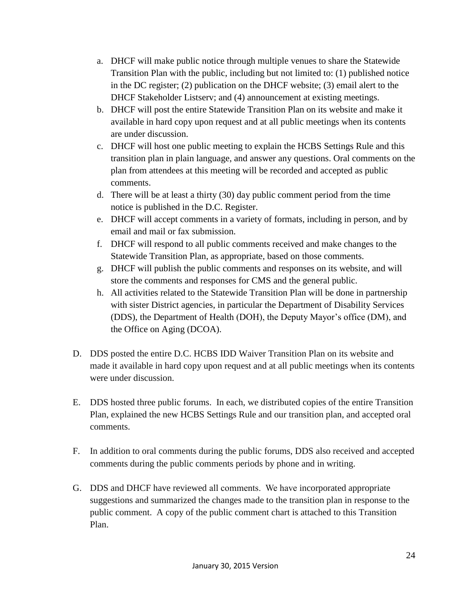- a. DHCF will make public notice through multiple venues to share the Statewide Transition Plan with the public, including but not limited to: (1) published notice in the DC register; (2) publication on the DHCF website; (3) email alert to the DHCF Stakeholder Listserv; and (4) announcement at existing meetings.
- b. DHCF will post the entire Statewide Transition Plan on its website and make it available in hard copy upon request and at all public meetings when its contents are under discussion.
- c. DHCF will host one public meeting to explain the HCBS Settings Rule and this transition plan in plain language, and answer any questions. Oral comments on the plan from attendees at this meeting will be recorded and accepted as public comments.
- d. There will be at least a thirty (30) day public comment period from the time notice is published in the D.C. Register.
- e. DHCF will accept comments in a variety of formats, including in person, and by email and mail or fax submission.
- f. DHCF will respond to all public comments received and make changes to the Statewide Transition Plan, as appropriate, based on those comments.
- g. DHCF will publish the public comments and responses on its website, and will store the comments and responses for CMS and the general public.
- h. All activities related to the Statewide Transition Plan will be done in partnership with sister District agencies, in particular the Department of Disability Services (DDS), the Department of Health (DOH), the Deputy Mayor's office (DM), and the Office on Aging (DCOA).
- D. DDS posted the entire D.C. HCBS IDD Waiver Transition Plan on its website and made it available in hard copy upon request and at all public meetings when its contents were under discussion.
- E. DDS hosted three public forums. In each, we distributed copies of the entire Transition Plan, explained the new HCBS Settings Rule and our transition plan, and accepted oral comments.
- F. In addition to oral comments during the public forums, DDS also received and accepted comments during the public comments periods by phone and in writing.
- G. DDS and DHCF have reviewed all comments. We have incorporated appropriate suggestions and summarized the changes made to the transition plan in response to the public comment. A copy of the public comment chart is attached to this Transition Plan.